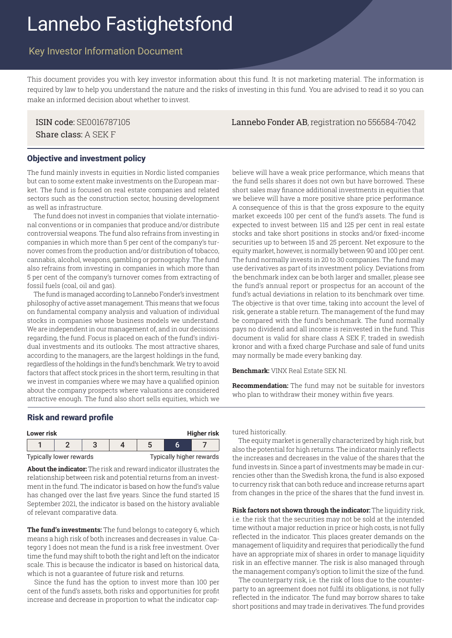# Lannebo Fastighetsfond

## Key Investor Information Document

This document provides you with key investor information about this fund. It is not marketing material. The information is required by law to help you understand the nature and the risks of investing in this fund. You are advised to read it so you can make an informed decision about whether to invest.

Share class: A SEK F

ISIN code: SE0016787105 Lannebo Fonder AB, registration no 556584-7042

#### Objective and investment policy

The fund mainly invests in equities in Nordic listed companies but can to some extent make investments on the European market. The fund is focused on real estate companies and related sectors such as the construction sector, housing development as well as infrastructure.

The fund does not invest in companies that violate international conventions or in companies that produce and/or distribute controversial weapons. The fund also refrains from investing in companies in which more than 5 per cent of the company's turnover comes from the production and/or distribution of tobacco, cannabis, alcohol, weapons, gambling or pornography. The fund also refrains from investing in companies in which more than 5 per cent of the company's turnover comes from extracting of fossil fuels (coal, oil and gas).

The fund is managed according to Lannebo Fonder's investment philosophy of active asset management. This means that we focus on fundamental company analysis and valuation of individual stocks in companies whose business models we understand. We are independent in our management of, and in our decisions regarding, the fund. Focus is placed on each of the fund's individual investments and its outlooks. The most attractive shares, according to the managers, are the largest holdings in the fund, regardless of the holdings in the fund's benchmark. We try to avoid factors that affect stock prices in the short term, resulting in that we invest in companies where we may have a qualified opinion about the company prospects where valuations are considered attractive enough. The fund also short sells equities, which we

believe will have a weak price performance, which means that the fund sells shares it does not own but have borrowed. These short sales may finance additional investments in equities that we believe will have a more positive share price performance. A consequence of this is that the gross exposure to the equity market exceeds 100 per cent of the fund's assets. The fund is expected to invest between 115 and 125 per cent in real estate stocks and take short positions in stocks and/or fixed-income securities up to between 15 and 25 percent. Net exposure to the equity market, however, is normally between 90 and 100 per cent. The fund normally invests in 20 to 30 companies. The fund may use derivatives as part of its investment policy. Deviations from the benchmark index can be both larger and smaller, please see the fund's annual report or prospectus for an account of the fund's actual deviations in relation to its benchmark over time. The objective is that over time, taking into account the level of risk, generate a stable return. The management of the fund may be compared with the fund's benchmark. The fund normally pays no dividend and all income is reinvested in the fund. This document is valid for share class A SEK F, traded in swedish kronor and with a fixed charge Purchase and sale of fund units may normally be made every banking day.

**Benchmark:** VINX Real Estate SEK NI.

**Recommendation:** The fund may not be suitable for investors who plan to withdraw their money within five years.

#### Risk and reward profile

| Higher risk<br>Lower risk |  |  |  |                          |  |  |
|---------------------------|--|--|--|--------------------------|--|--|
|                           |  |  |  |                          |  |  |
| Typically lower rewards   |  |  |  | Typically higher rewards |  |  |

**About the indicator:** The risk and reward indicator illustrates the relationship between risk and potential returns from an investment in the fund. The indicator is based on how the fund's value has changed over the last five years. Since the fund started 15 September 2021, the indicator is based on the history avaliable of relevant comparative data.

**The fund's investments:** The fund belongs to category 6, which means a high risk of both increases and decreases in value. Category 1 does not mean the fund is a risk free investment. Over time the fund may shift to both the right and left on the indicator scale. This is because the indicator is based on historical data, which is not a guarantee of future risk and returns.

 Since the fund has the option to invest more than 100 per cent of the fund's assets, both risks and opportunities for profit increase and decrease in proportion to what the indicator captured historically.

 The equity market is generally characterized by high risk, but also the potential for high returns. The indicator mainly reflects the increases and decreases in the value of the shares that the fund invests in. Since a part of investments may be made in currencies other than the Swedish krona, the fund is also exposed to currency risk that can both reduce and increase returns apart from changes in the price of the shares that the fund invest in.

**Risk factors not shown through the indicator:** The liquidity risk, i.e. the risk that the securities may not be sold at the intended time without a major reduction in price or high costs, is not fully reflected in the indicator. This places greater demands on the management of liquidity and requires that periodically the fund have an appropriate mix of shares in order to manage liquidity risk in an effective manner. The risk is also managed through the management company's option to limit the size of the fund.

 The counterparty risk, i.e. the risk of loss due to the counterparty to an agreement does not fulfil its obligations, is not fully reflected in the indicator. The fund may borrow shares to take short positions and may trade in derivatives. The fund provides